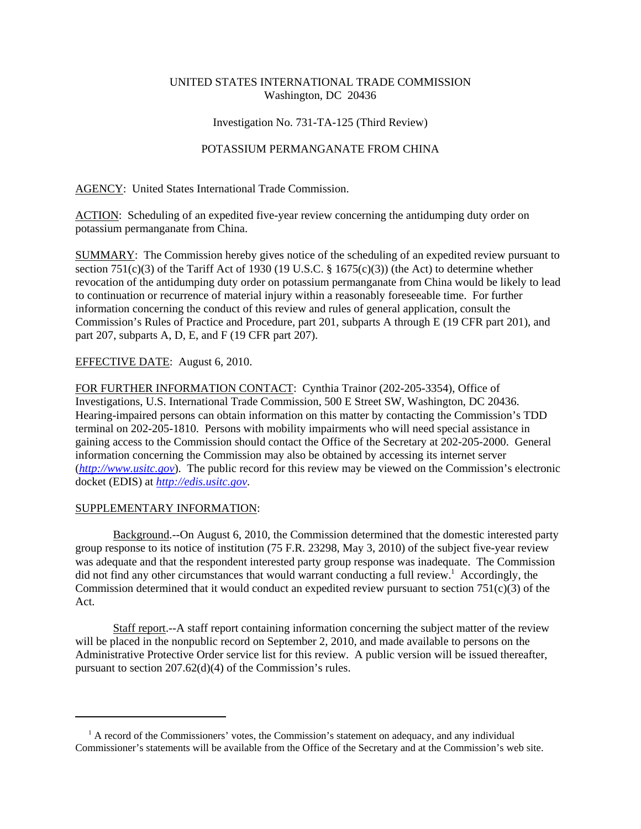# UNITED STATES INTERNATIONAL TRADE COMMISSION Washington, DC 20436

#### Investigation No. 731-TA-125 (Third Review)

# POTASSIUM PERMANGANATE FROM CHINA

AGENCY: United States International Trade Commission.

ACTION: Scheduling of an expedited five-year review concerning the antidumping duty order on potassium permanganate from China.

SUMMARY: The Commission hereby gives notice of the scheduling of an expedited review pursuant to section 751(c)(3) of the Tariff Act of 1930 (19 U.S.C. § 1675(c)(3)) (the Act) to determine whether revocation of the antidumping duty order on potassium permanganate from China would be likely to lead to continuation or recurrence of material injury within a reasonably foreseeable time. For further information concerning the conduct of this review and rules of general application, consult the Commission's Rules of Practice and Procedure, part 201, subparts A through E (19 CFR part 201), and part 207, subparts A, D, E, and F (19 CFR part 207).

### EFFECTIVE DATE: August 6, 2010.

FOR FURTHER INFORMATION CONTACT: Cynthia Trainor (202-205-3354), Office of Investigations, U.S. International Trade Commission, 500 E Street SW, Washington, DC 20436. Hearing-impaired persons can obtain information on this matter by contacting the Commission's TDD terminal on 202-205-1810. Persons with mobility impairments who will need special assistance in gaining access to the Commission should contact the Office of the Secretary at 202-205-2000. General information concerning the Commission may also be obtained by accessing its internet server (*http://www.usitc.gov*). The public record for this review may be viewed on the Commission's electronic docket (EDIS) at *http://edis.usitc.gov*.

#### SUPPLEMENTARY INFORMATION:

Background.--On August 6, 2010, the Commission determined that the domestic interested party group response to its notice of institution (75 F.R. 23298, May 3, 2010) of the subject five-year review was adequate and that the respondent interested party group response was inadequate. The Commission did not find any other circumstances that would warrant conducting a full review.<sup>1</sup> Accordingly, the Commission determined that it would conduct an expedited review pursuant to section  $751(c)(3)$  of the Act.

Staff report.--A staff report containing information concerning the subject matter of the review will be placed in the nonpublic record on September 2, 2010, and made available to persons on the Administrative Protective Order service list for this review. A public version will be issued thereafter, pursuant to section 207.62(d)(4) of the Commission's rules.

<sup>&</sup>lt;sup>1</sup> A record of the Commissioners' votes, the Commission's statement on adequacy, and any individual Commissioner's statements will be available from the Office of the Secretary and at the Commission's web site.